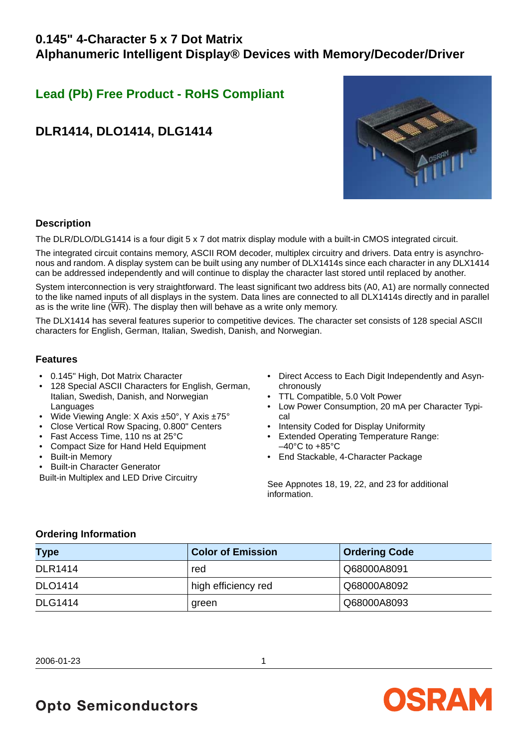## **0.145" 4-Character 5 x 7 Dot Matrix**

**Alphanumeric Intelligent Display® Devices with Memory/Decoder/Driver**

# **Lead (Pb) Free Product - RoHS Compliant**

## **DLR1414, DLO1414, DLG1414**



## **Description**

The DLR/DLO/DLG1414 is a four digit 5 x 7 dot matrix display module with a built-in CMOS integrated circuit.

The integrated circuit contains memory, ASCII ROM decoder, multiplex circuitry and drivers. Data entry is asynchronous and random. A display system can be built using any number of DLX1414s since each character in any DLX1414 can be addressed independently and will continue to display the character last stored until replaced by another.

System interconnection is very straightforward. The least significant two address bits (A0, A1) are normally connected to the like named inputs of all displays in the system. Data lines are connected to all DLX1414s directly and in parallel as is the write line  $(\overline{WR})$ . The display then will behave as a write only memory.

The DLX1414 has several features superior to competitive devices. The character set consists of 128 special ASCII characters for English, German, Italian, Swedish, Danish, and Norwegian.

#### **Features**

- 0.145" High, Dot Matrix Character
- 128 Special ASCII Characters for English, German, Italian, Swedish, Danish, and Norwegian Languages
- Wide Viewing Angle: X Axis ±50°, Y Axis ±75°
- Close Vertical Row Spacing, 0.800" Centers
- Fast Access Time, 110 ns at 25°C
- Compact Size for Hand Held Equipment
- Built-in Memory
- Built-in Character Generator

Built-in Multiplex and LED Drive Circuitry

- Direct Access to Each Digit Independently and Asynchronously
- TTL Compatible, 5.0 Volt Power
- Low Power Consumption, 20 mA per Character Typical
- Intensity Coded for Display Uniformity
- Extended Operating Temperature Range:  $-40^{\circ}$ C to  $+85^{\circ}$ C
- End Stackable, 4-Character Package

See Appnotes 18, 19, 22, and 23 for additional information.

#### **Ordering Information**

| Type           | <b>Color of Emission</b> | <b>Ordering Code</b> |
|----------------|--------------------------|----------------------|
| <b>DLR1414</b> | red                      | Q68000A8091          |
| <b>DLO1414</b> | high efficiency red      | Q68000A8092          |
| <b>DLG1414</b> | green                    | Q68000A8093          |



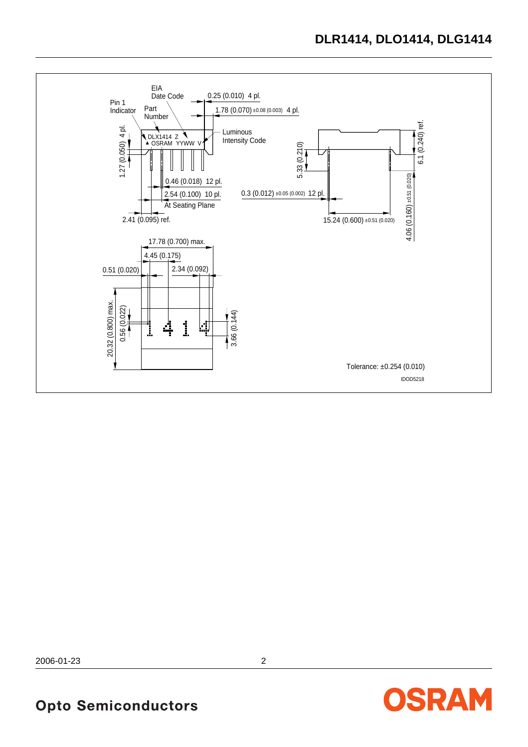

**Opto Semiconductors** 

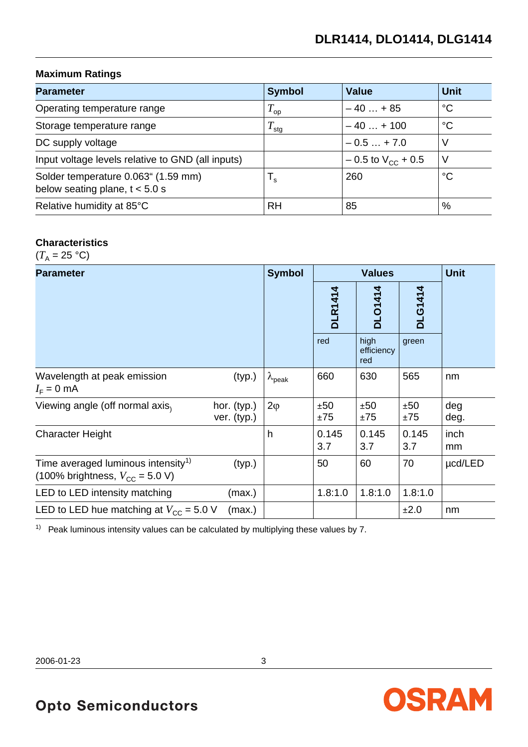## **Maximum Ratings**

| <b>Parameter</b>                                                        | <b>Symbol</b>           | Value                        | Unit |
|-------------------------------------------------------------------------|-------------------------|------------------------------|------|
| Operating temperature range                                             | $T_{op}$                | $-40+85$                     | °C   |
| Storage temperature range                                               | $T_{\text{stg}}$        | $-40+100$                    | °C   |
| DC supply voltage                                                       |                         | $-0.5+7.0$                   |      |
| Input voltage levels relative to GND (all inputs)                       |                         | $-0.5$ to $V_{\rm cc}$ + 0.5 |      |
| Solder temperature 0.063" (1.59 mm)<br>below seating plane, $t < 5.0$ s | $\mathsf{I}_\mathsf{s}$ | 260                          | °C   |
| Relative humidity at 85°C                                               | <b>RH</b>               | 85                           | %    |

## **Characteristics**

 $(T_A = 25 \text{ °C})$ 

| <b>Parameter</b>                                                                          |                            | <b>Symbol</b>        |                | <b>Values</b>             |                | <b>Unit</b> |
|-------------------------------------------------------------------------------------------|----------------------------|----------------------|----------------|---------------------------|----------------|-------------|
|                                                                                           |                            |                      | <b>DLR1414</b> | <b>DLO1414</b>            | <b>DLG1414</b> |             |
|                                                                                           |                            |                      | red            | high<br>efficiency<br>red | green          |             |
| Wavelength at peak emission<br>$I_F = 0$ mA                                               | (typ.)                     | $\lambda_{\rm peak}$ | 660            | 630                       | 565            | nm          |
| Viewing angle (off normal axis,                                                           | hor. (typ.)<br>ver. (typ.) | $2\varphi$           | ±50<br>±75     | ±50<br>±75                | ±50<br>±75     | deg<br>deg. |
| <b>Character Height</b>                                                                   |                            | h                    | 0.145<br>3.7   | 0.145<br>3.7              | 0.145<br>3.7   | inch<br>mm  |
| Time averaged luminous intensity <sup>1)</sup><br>(100% brightness, $V_{\rm CC}$ = 5.0 V) | (typ.)                     |                      | 50             | 60                        | 70             | ucd/LED     |
| LED to LED intensity matching                                                             | (max.)                     |                      | 1.8:1.0        | 1.8:1.0                   | 1.8:1.0        |             |
| LED to LED hue matching at $V_{\text{CC}}$ = 5.0 V                                        | (max.)                     |                      |                |                           | ±2.0           | nm          |

 $1)$  Peak luminous intensity values can be calculated by multiplying these values by 7.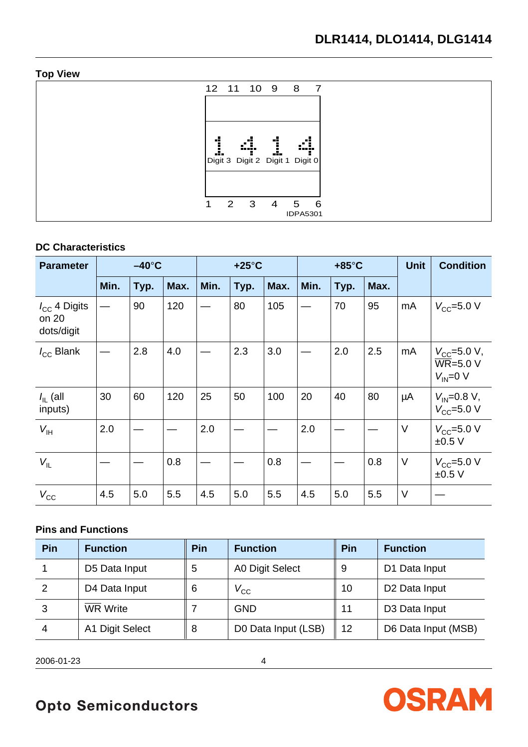## **Top View**

| 4<br>1<br>œ<br>đ.<br>Digit 3 Digit 2 Digit 1 Digit 0 |   | 12 11 10 9 8 7 |                |                                   |                 |  |  |  |  |
|------------------------------------------------------|---|----------------|----------------|-----------------------------------|-----------------|--|--|--|--|
|                                                      |   |                |                |                                   |                 |  |  |  |  |
|                                                      |   |                |                |                                   |                 |  |  |  |  |
|                                                      |   |                |                |                                   |                 |  |  |  |  |
|                                                      |   |                |                |                                   |                 |  |  |  |  |
|                                                      | 1 | 2 3            | $\overline{4}$ | 5 <sup>5</sup><br><b>IDPA5301</b> | $6\overline{6}$ |  |  |  |  |

### **DC Characteristics**

| <b>Parameter</b>                                |      | $-40^{\circ}$ C |      |      | $+25^{\circ}$ C |      |      | $+85^{\circ}$ C |      |    | <b>Condition</b>                                                        |
|-------------------------------------------------|------|-----------------|------|------|-----------------|------|------|-----------------|------|----|-------------------------------------------------------------------------|
|                                                 | Min. | Typ.            | Max. | Min. | Typ.            | Max. | Min. | Typ.            | Max. |    |                                                                         |
| $I_{\text{CC}}$ 4 Digits<br>on 20<br>dots/digit |      | 90              | 120  |      | 80              | 105  |      | 70              | 95   | mA | $V_{\rm CC}$ =5.0 V                                                     |
| $I_{\rm CC}$ Blank                              |      | 2.8             | 4.0  |      | 2.3             | 3.0  |      | 2.0             | 2.5  | mA | $V_{\rm CC}$ =5.0 V,<br>$\overline{\text{WR}}$ =5.0 V<br>$V_{IN} = 0 V$ |
| $I_{\rm II}$ (all<br>inputs)                    | 30   | 60              | 120  | 25   | 50              | 100  | 20   | 40              | 80   | μA | $V_{\text{IN}} = 0.8 V$ ,<br>$V_{CC}$ =5.0 V                            |
| $V_{\text{H}}$                                  | 2.0  |                 |      | 2.0  |                 |      | 2.0  |                 |      | V  | $V_{\rm CC}$ =5.0 V<br>±0.5V                                            |
| $V_{IL}$                                        |      |                 | 0.8  |      |                 | 0.8  |      |                 | 0.8  | V  | $V_{\rm CC}$ =5.0 V<br>±0.5V                                            |
| $V_{\rm CC}$                                    | 4.5  | 5.0             | 5.5  | 4.5  | 5.0             | 5.5  | 4.5  | 5.0             | 5.5  | V  |                                                                         |

### **Pins and Functions**

| Pin | <b>Function</b> | <b>Pin</b> | <b>Function</b>     | Pin | <b>Function</b>           |
|-----|-----------------|------------|---------------------|-----|---------------------------|
|     | D5 Data Input   | 5          | A0 Digit Select     | 9   | D1 Data Input             |
| 2   | D4 Data Input   | 6          | $V_{\rm CC}$        | 10  | D <sub>2</sub> Data Input |
| 3   | <b>WR</b> Write |            | <b>GND</b>          | 11  | D <sub>3</sub> Data Input |
| 4   | A1 Digit Select | 8          | D0 Data Input (LSB) | 12  | D6 Data Input (MSB)       |

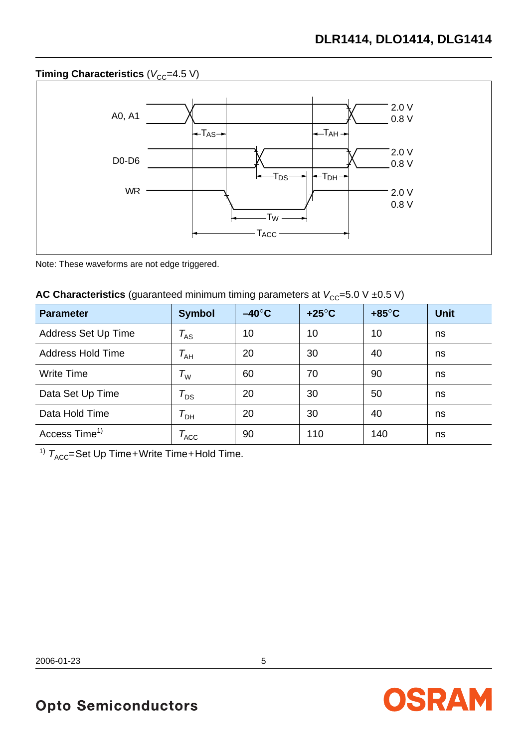## **Timing Characteristics (** $V_{CC}$ **=4.5 V)**



Note: These waveforms are not edge triggered.

| <b>AC Characteristics</b> (guaranteed minimum timing parameters at $V_{\text{CC}}$ =5.0 V ±0.5 V) |  |  |  |  |  |  |  |  |
|---------------------------------------------------------------------------------------------------|--|--|--|--|--|--|--|--|
|---------------------------------------------------------------------------------------------------|--|--|--|--|--|--|--|--|

| <b>Parameter</b>          | Symbol                                | $-40^{\circ}$ C | $+25^{\circ}$ C | $+85^{\circ}$ C | <b>Unit</b> |
|---------------------------|---------------------------------------|-----------------|-----------------|-----------------|-------------|
| Address Set Up Time       | $T_{AS}$                              | 10              | 10              | 10              | ns          |
| Address Hold Time         | $T_{\rm AH}$                          | 20              | 30              | 40              | ns          |
| Write Time                | $\tau_{\scriptscriptstyle\mathsf{W}}$ | 60              | 70              | 90              | ns          |
| Data Set Up Time          | $\tau_{\textnormal{\tiny{DS}}}$       | 20              | 30              | 50              | ns          |
| Data Hold Time            | $\tau_{\scriptscriptstyle{\sf DH}}$   | 20              | 30              | 40              | ns          |
| Access Time <sup>1)</sup> | $\rm \mathcal{T}_{ACC}$               | 90              | 110             | 140             | ns          |

<sup>1)</sup>  $T_{\text{ACC}}$ =Set Up Time+Write Time+Hold Time.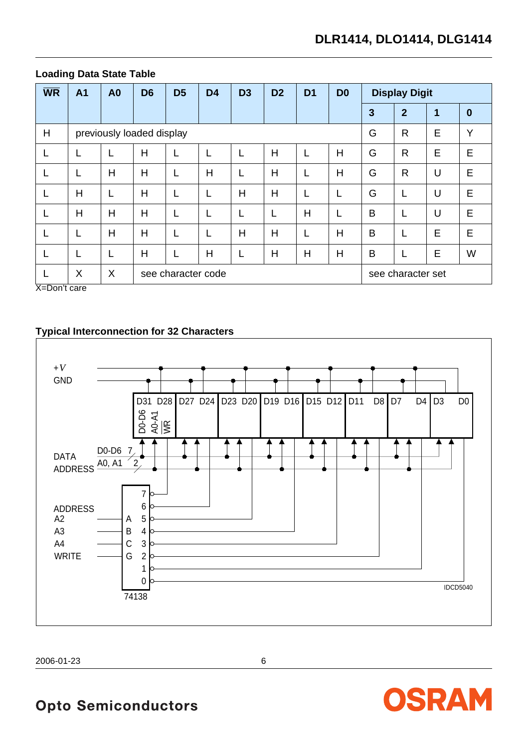| <b>WR</b>    | A <sub>1</sub> | A <sub>0</sub>            | D <sub>6</sub> | D <sub>5</sub>     | D <sub>4</sub> | D <sub>3</sub> | D <sub>2</sub> | D <sub>1</sub> | D <sub>0</sub>    | <b>Display Digit</b> |                |   |          |
|--------------|----------------|---------------------------|----------------|--------------------|----------------|----------------|----------------|----------------|-------------------|----------------------|----------------|---|----------|
|              |                |                           |                |                    |                |                |                |                |                   | 3                    | $\overline{2}$ | 1 | $\bf{0}$ |
| H            |                | previously loaded display |                | G                  | R              | E              | Υ              |                |                   |                      |                |   |          |
|              |                | L                         | н              | L                  |                |                | н              |                | н                 | G                    | R              | E | E        |
|              | L              | н                         | н              | L                  | Н              | L              | н              |                | H                 | G                    | R              | U | E        |
|              | H              | L                         | H              | L                  | L              | H              | H              |                | L                 | G                    |                | U | E        |
|              | H              | н                         | H              | L                  | L              |                |                | H              | L                 | B                    |                | U | E        |
|              | L              | н                         | H              | L                  | L              | H              | н              |                | H                 | B                    |                | E | E        |
|              | L              | L                         | H              | L                  | Н              | L              | н              | н              | н                 | B                    |                | E | W        |
|              | X              | X                         |                | see character code |                |                |                |                | see character set |                      |                |   |          |
| X=Don't care |                |                           |                |                    |                |                |                |                |                   |                      |                |   |          |

## **Loading Data State Table**

### **Typical Interconnection for 32 Characters**



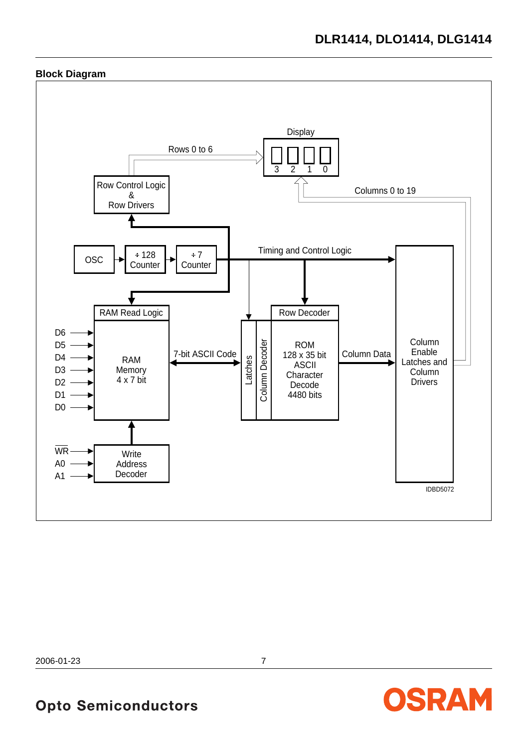

## **Block Diagram**

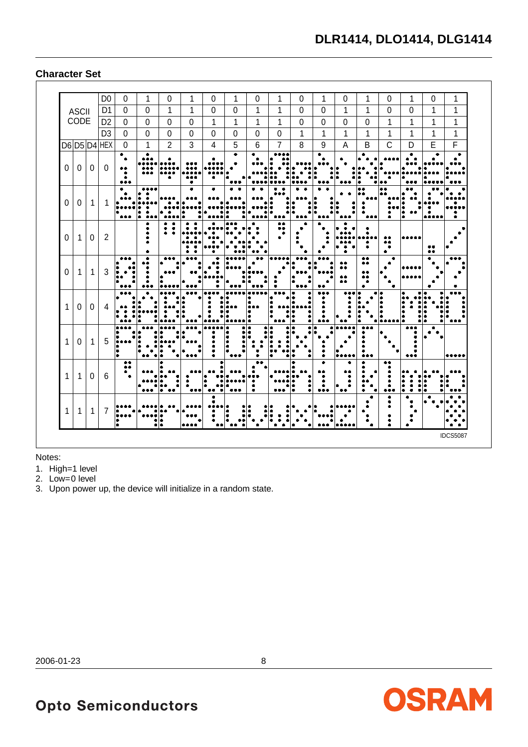### **Character Set**

|              | <b>ASCII</b> |             | D <sub>0</sub><br>D <sub>1</sub> | $\mathbf 0$<br>$\mathbf 0$  | 1<br>$\mathbf 0$ | $\mathbf 0$<br>1 | 1<br>1       | 0<br>0 | 1<br>$\mathbf 0$      | $\mathbf{0}$<br>1 | 1<br>1      | $\mathbf 0$<br>$\mathbf 0$ | 1<br>$\mathbf 0$ | $\mathbf 0$<br>1 | 1<br>1               | $\mathbf 0$<br>0 | 1<br>$\mathbf 0$ | $\mathbf 0$<br>1 | 1<br>1                       |
|--------------|--------------|-------------|----------------------------------|-----------------------------|------------------|------------------|--------------|--------|-----------------------|-------------------|-------------|----------------------------|------------------|------------------|----------------------|------------------|------------------|------------------|------------------------------|
|              | CODE         |             | D <sub>2</sub>                   | $\mathbf 0$                 | $\mathbf 0$      | $\mathbf 0$      | $\mathbf{0}$ | 1      | 1                     | 1                 | 1           | $\mathbf 0$                | $\pmb{0}$        | $\mathbf 0$      | $\mathbf 0$          | 1                | 1                | 1                | 1                            |
|              |              |             | D <sub>3</sub>                   | $\mathbf 0$                 | $\mathbf 0$      | $\mathbf 0$      | $\mathbf 0$  | 0      | $\mathbf 0$           | 0                 | $\mathbf 0$ | 1                          | 1                | $\mathbf{1}$     | 1                    | 1                | 1                | 1                | 1                            |
|              |              |             | D6D5D4 HEX                       | $\mathbf 0$                 | 1                | 2                | 3            | 4      | 5                     | 6                 | 7           | 8                          | 9                | A                | B                    | C                | D                | E                | F                            |
| $\Omega$     | $\mathbf 0$  | $\mathbf 0$ | 0                                | $\bullet$<br>٠<br><br>٠<br> | ٠<br>            |                  |              |        | ٠                     | ٠                 |             |                            |                  |                  |                      |                  |                  |                  |                              |
| $\mathbf 0$  | 0            | 1           |                                  |                             | <br>٠<br>        |                  |              |        |                       |                   |             |                            |                  |                  |                      |                  |                  |                  |                              |
| $\Omega$     | 1            | $\mathbf 0$ | $\overline{2}$                   |                             | ٠                |                  |              |        |                       |                   | <br>        |                            |                  |                  | ٠                    | <br>٠            |                  | <br>             |                              |
| $\Omega$     | 1            | 1           | 3                                |                             | ٠                |                  |              |        |                       |                   |             |                            |                  | <br><br><br>     | $\bullet\bullet$<br> |                  |                  |                  |                              |
| $\mathbf{1}$ | 0            | $\mathbf 0$ | 4                                |                             |                  |                  |              |        |                       |                   |             |                            | <br>             |                  |                      |                  |                  | ٠                | ٠<br>$\bullet\bullet\bullet$ |
| $\mathbf{1}$ | 0            | 1           | 5                                | ١c<br>le<br>lē              |                  |                  |              |        | ٠<br>$\bullet\bullet$ |                   |             |                            | ٠                | ٠                |                      |                  |                  |                  |                              |
| $\mathbf{1}$ | 1            | $\mathbf 0$ | 6                                | $\bullet\bullet$<br>        |                  |                  |              |        |                       | ۰                 |             | ٠                          | ٠<br>٠<br>       |                  |                      | <br>             | ٠                |                  |                              |
| 1            | 1            | 1           | 7                                | ÷                           |                  | ۰                |              |        |                       |                   | ٠           |                            |                  |                  | ٠                    | ٠<br>٠           |                  |                  |                              |

Notes:

1. High=1 level

2. Low=0 level

3. Upon power up, the device will initialize in a random state.

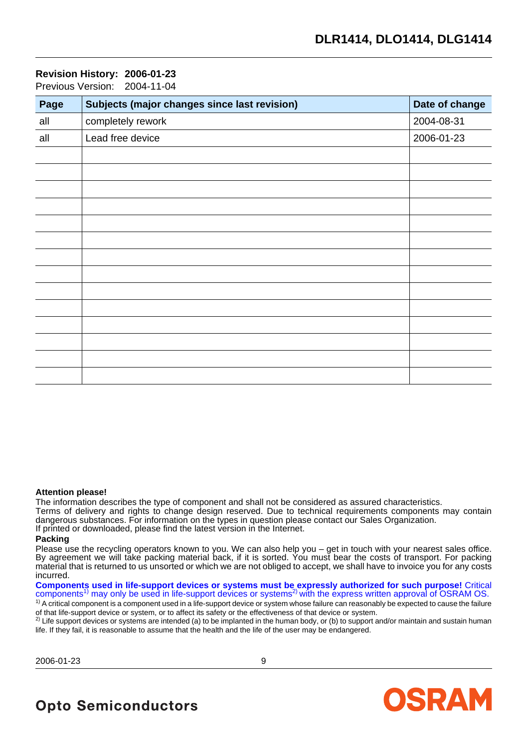#### **Revision History: 2006-01-23**

Previous Version: 2004-11-04

| Subjects (major changes since last revision) | Date of change |
|----------------------------------------------|----------------|
| completely rework                            | 2004-08-31     |
| Lead free device                             | 2006-01-23     |
|                                              |                |
|                                              |                |
|                                              |                |
|                                              |                |
|                                              |                |
|                                              |                |
|                                              |                |
|                                              |                |
|                                              |                |
|                                              |                |
|                                              |                |
|                                              |                |
|                                              |                |
|                                              |                |
|                                              |                |

#### **Attention please!**

The information describes the type of component and shall not be considered as assured characteristics. Terms of delivery and rights to change design reserved. Due to technical requirements components may contain dangerous substances. For information on the types in question please contact our Sales Organization. If printed or downloaded, please find the latest version in the Internet.

#### **Packing**

Please use the recycling operators known to you. We can also help you – get in touch with your nearest sales office.<br>By agreement we will take packing material back, if it is sorted. You must bear the costs of transport. F incurred.

**Components used in life-support devices or systems must be expressly authorized for such purpose!** Critical components<sup>1)</sup> may only be used in life-support devices or systems<sup>2</sup> with the express written approval of OSRAM OS.  $1)$  A critical component is a component used in a life-support device or system whose failure can reasonably be expected to cause the failure

of that life-support device or system, or to affect its safety or the effectiveness of that device or system.  $^{2)}$  Life support devices or systems are intended (a) to be implanted in the human body, or (b) to support and/or maintain and sustain human

life. If they fail, it is reasonable to assume that the health and the life of the user may be endangered.